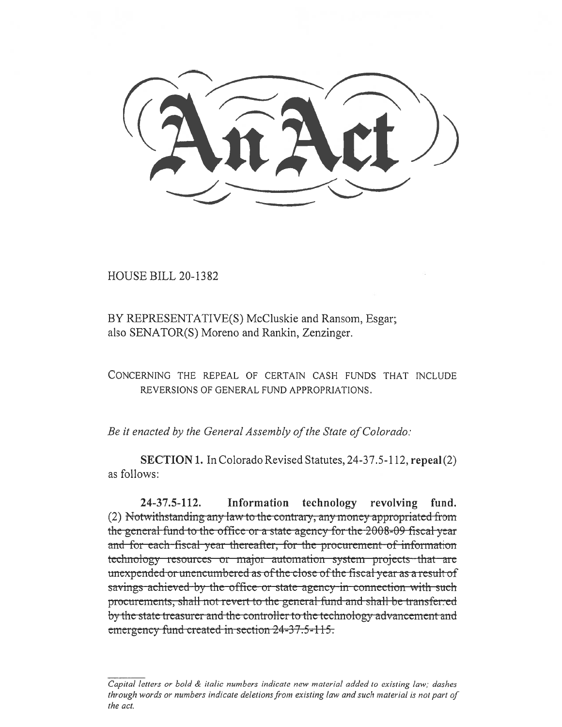**HOUSE BILL 20-1382** 

BY REPRESENTATIVE(S) McCluskie and Ransom, Esgar; also SENATOR(S) Moreno and Rankin, Zenzinger.

CONCERNING THE REPEAL OF CERTAIN CASH FUNDS THAT INCLUDE REVERSIONS OF GENERAL FUND APPROPRIATIONS.

Be it enacted by the General Assembly of the State of Colorado:

SECTION 1. In Colorado Revised Statutes, 24-37.5-112, repeal (2) as follows:

 $24 - 37.5 - 112.$ Information technology revolving fund. (2) Notwithstanding any law to the contrary, any money appropriated from the general fund to the office or a state agency for the 2008-09 fiscal year and for each fiscal year thereafter, for the procurement of information technology resources or major automation system projects that are unexpended or unencumbered as of the close of the fiscal year as a result of savings achieved by the office or state agency in connection with such procurements, shall not revert to the general fund and shall be transferred by the state treasurer and the controller to the technology advancement and emergency fund created in section 24-37.5-115.

Capital letters or bold & italic numbers indicate new material added to existing law; dashes through words or numbers indicate deletions from existing law and such material is not part of the act.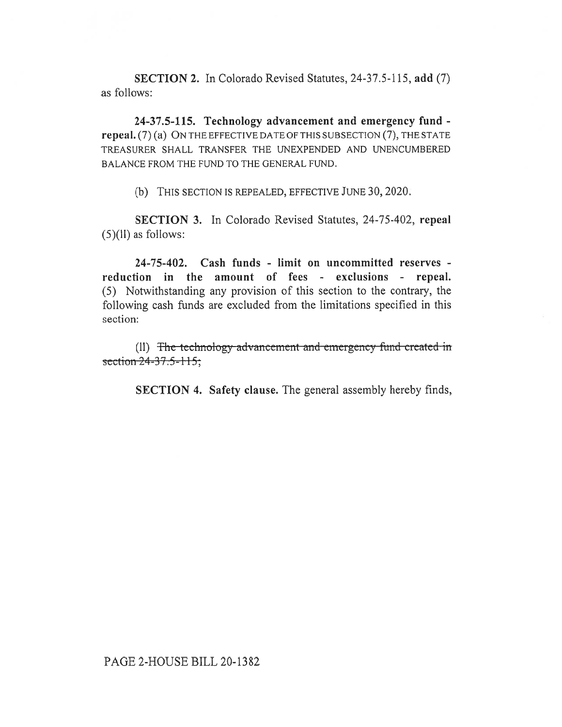**SECTION 2.** In Colorado Revised Statutes, 24-37.5-115, **add** (7) as follows:

**24-37.5-115. Technology advancement and emergency fund repeal.** (7) (a) ON THE EFFECTIVE DATE OF THIS SUBSECTION (7), THE STATE TREASURER SHALL TRANSFER THE UNEXPENDED AND UNENCUMBERED BALANCE FROM THE FUND TO THE GENERAL FUND.

(b) THIS SECTION IS REPEALED, EFFECTIVE JUNE 30, 2020.

**SECTION 3.** In Colorado Revised Statutes, 24-75-402, **repeal**   $(5)(11)$  as follows:

**24-75-402. Cash funds - limit on uncommitted reserves reduction in the amount of fees - exclusions - repeal.**  (5) Notwithstanding any provision of this section to the contrary, the following cash funds are excluded from the limitations specified in this section:

(II) The technology advancement and emergency fund created in section  $24 - 37.5 - 115$ ;

**SECTION 4. Safety clause.** The general assembly hereby finds,